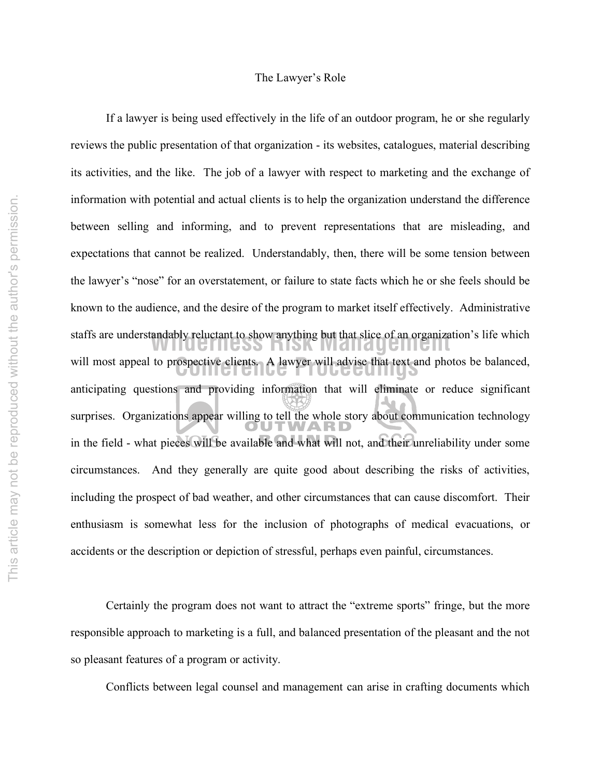#### The Lawyer's Role

will most appeal to prospective clients. A lawyer will advise that text and photos be balanced, staffs are understandably reluctant to show anything but that slice of an organization's life which<br>**Management** If a lawyer is being used effectively in the life of an outdoor program, he or she regularly reviews the public presentation of that organization - its websites, catalogues, material describing its activities, and the like. The job of a lawyer with respect to marketing and the exchange of information with potential and actual clients is to help the organization understand the difference between selling and informing, and to prevent representations that are misleading, and expectations that cannot be realized. Understandably, then, there will be some tension between the lawyer's "nose" for an overstatement, or failure to state facts which he or she feels should be known to the audience, and the desire of the program to market itself effectively. Administrative anticipating questions and providing information that will eliminate or reduce significant surprises. Organizations appear willing to tell the whole story about communication technology in the field - what pieces will be available and what will not, and their unreliability under some circumstances. And they generally are quite good about describing the risks of activities, including the prospect of bad weather, and other circumstances that can cause discomfort. Their enthusiasm is somewhat less for the inclusion of photographs of medical evacuations, or accidents or the description or depiction of stressful, perhaps even painful, circumstances.

Certainly the program does not want to attract the "extreme sports" fringe, but the more responsible approach to marketing is a full, and balanced presentation of the pleasant and the not so pleasant features of a program or activity.

Conflicts between legal counsel and management can arise in crafting documents which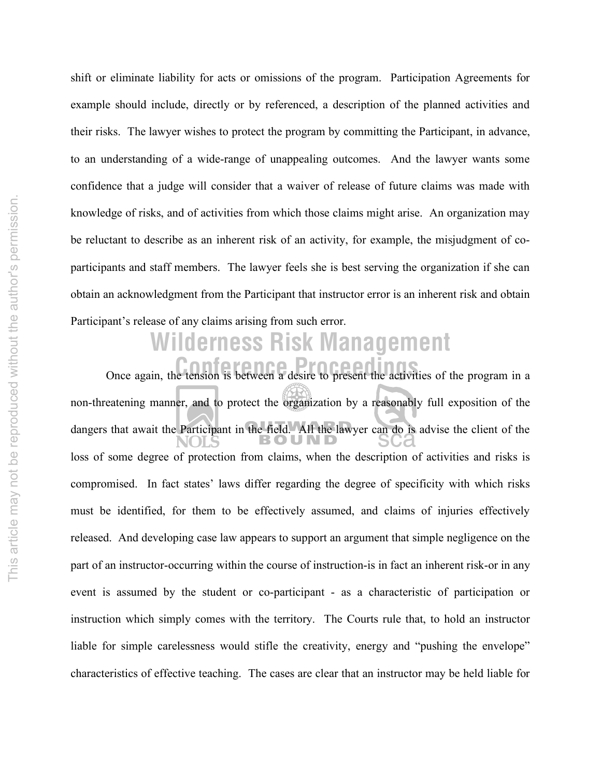shift or eliminate liability for acts or omissions of the program. Participation Agreements for example should include, directly or by referenced, a description of the planned activities and their risks. The lawyer wishes to protect the program by committing the Participant, in advance, to an understanding of a wide-range of unappealing outcomes. And the lawyer wants some confidence that a judge will consider that a waiver of release of future claims was made with knowledge of risks, and of activities from which those claims might arise. An organization may be reluctant to describe as an inherent risk of an activity, for example, the misjudgment of coparticipants and staff members. The lawyer feels she is best serving the organization if she can obtain an acknowledgment from the Participant that instructor error is an inherent risk and obtain Participant's release of any claims arising from such error.

# **Wilderness Risk Management**

**Conference Article Proceedings** Once again, the tension is between a desire to present the activities of the program in a non-threatening manner, and to protect the organization by a reasonably full exposition of the dangers that await the Participant in the field. All the lawyer can do is advise the client of the loss of some degree of protection from claims, when the description of activities and risks is compromised. In fact states' laws differ regarding the degree of specificity with which risks must be identified, for them to be effectively assumed, and claims of injuries effectively released. And developing case law appears to support an argument that simple negligence on the part of an instructor-occurring within the course of instruction-is in fact an inherent risk-or in any event is assumed by the student or co-participant - as a characteristic of participation or instruction which simply comes with the territory. The Courts rule that, to hold an instructor liable for simple carelessness would stifle the creativity, energy and "pushing the envelope" characteristics of effective teaching. The cases are clear that an instructor may be held liable for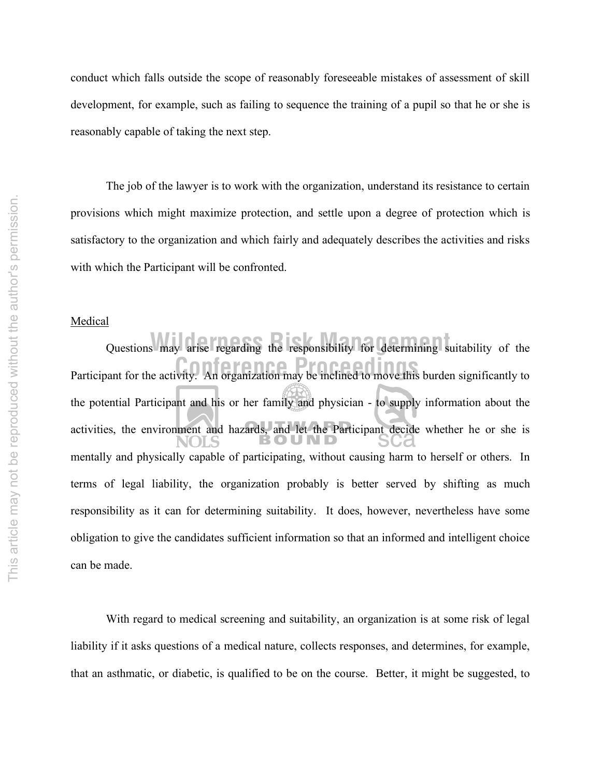conduct which falls outside the scope of reasonably foreseeable mistakes of assessment of skill development, for example, such as failing to sequence the training of a pupil so that he or she is reasonably capable of taking the next step.

The job of the lawyer is to work with the organization, understand its resistance to certain provisions which might maximize protection, and settle upon a degree of protection which is satisfactory to the organization and which fairly and adequately describes the activities and risks with which the Participant will be confronted.

#### **Medical**

Participant for the activity. An organization may be inclined to move this burden significantly to Questions may arise regarding the responsibility for determining suitability of the the potential Participant and his or her family and physician - to supply information about the activities, the environment and hazards, and let the Participant decide whether he or she is mentally and physically capable of participating, without causing harm to herself or others. In terms of legal liability, the organization probably is better served by shifting as much responsibility as it can for determining suitability. It does, however, nevertheless have some obligation to give the candidates sufficient information so that an informed and intelligent choice can be made.

With regard to medical screening and suitability, an organization is at some risk of legal liability if it asks questions of a medical nature, collects responses, and determines, for example, that an asthmatic, or diabetic, is qualified to be on the course. Better, it might be suggested, to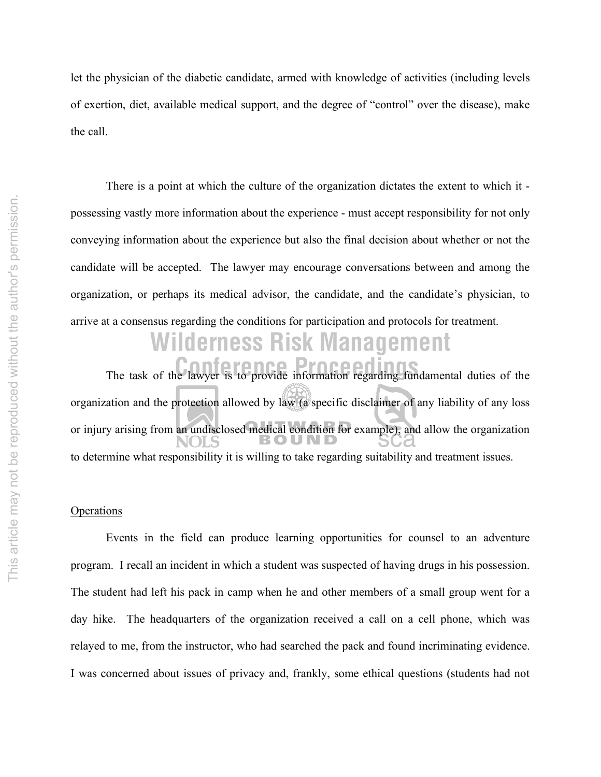let the physician of the diabetic candidate, armed with knowledge of activities (including levels of exertion, diet, available medical support, and the degree of "control" over the disease), make the call.

There is a point at which the culture of the organization dictates the extent to which it possessing vastly more information about the experience - must accept responsibility for not only conveying information about the experience but also the final decision about whether or not the candidate will be accepted. The lawyer may encourage conversations between and among the organization, or perhaps its medical advisor, the candidate, and the candidate's physician, to arrive at a consensus regarding the conditions for participation and protocols for treatment.

## **Wilderness Risk Management**

The task of the lawyer is to provide information regarding fundamental duties of the organization and the protection allowed by law (a specific disclaimer of any liability of any loss or injury arising from an undisclosed medical condition for example), and allow the organization to determine what responsibility it is willing to take regarding suitability and treatment issues.

#### **Operations**

Events in the field can produce learning opportunities for counsel to an adventure program. I recall an incident in which a student was suspected of having drugs in his possession. The student had left his pack in camp when he and other members of a small group went for a day hike. The headquarters of the organization received a call on a cell phone, which was relayed to me, from the instructor, who had searched the pack and found incriminating evidence. I was concerned about issues of privacy and, frankly, some ethical questions (students had not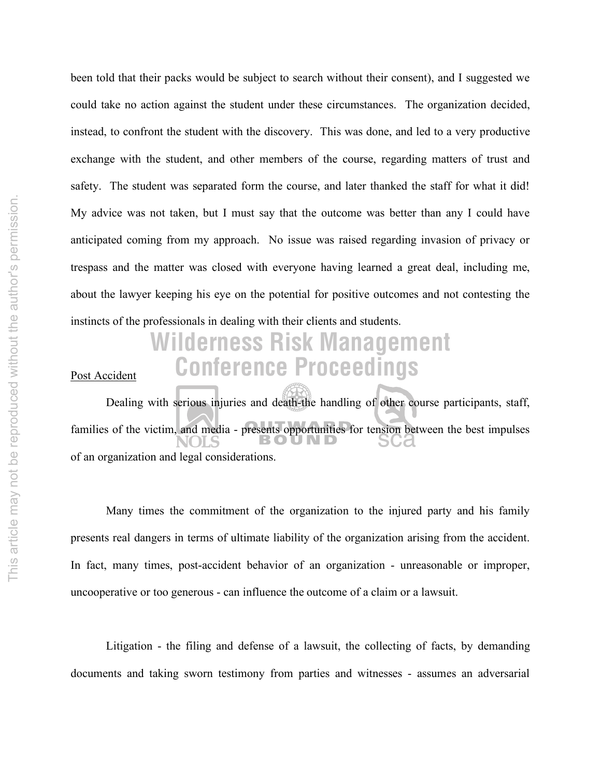been told that their packs would be subject to search without their consent), and I suggested we could take no action against the student under these circumstances. The organization decided, instead, to confront the student with the discovery. This was done, and led to a very productive exchange with the student, and other members of the course, regarding matters of trust and safety. The student was separated form the course, and later thanked the staff for what it did! My advice was not taken, but I must say that the outcome was better than any I could have anticipated coming from my approach. No issue was raised regarding invasion of privacy or trespass and the matter was closed with everyone having learned a great deal, including me, about the lawyer keeping his eye on the potential for positive outcomes and not contesting the instincts of the professionals in dealing with their clients and students.

### **Conference Proceedings Wilderness Risk Management**

Post Accident

Dealing with serious injuries and death-the handling of other course participants, staff, families of the victim, and media - presents opportunities for tension between the best impulses of an organization and legal considerations.

Many times the commitment of the organization to the injured party and his family presents real dangers in terms of ultimate liability of the organization arising from the accident. In fact, many times, post-accident behavior of an organization - unreasonable or improper, uncooperative or too generous - can influence the outcome of a claim or a lawsuit.

Litigation - the filing and defense of a lawsuit, the collecting of facts, by demanding documents and taking sworn testimony from parties and witnesses - assumes an adversarial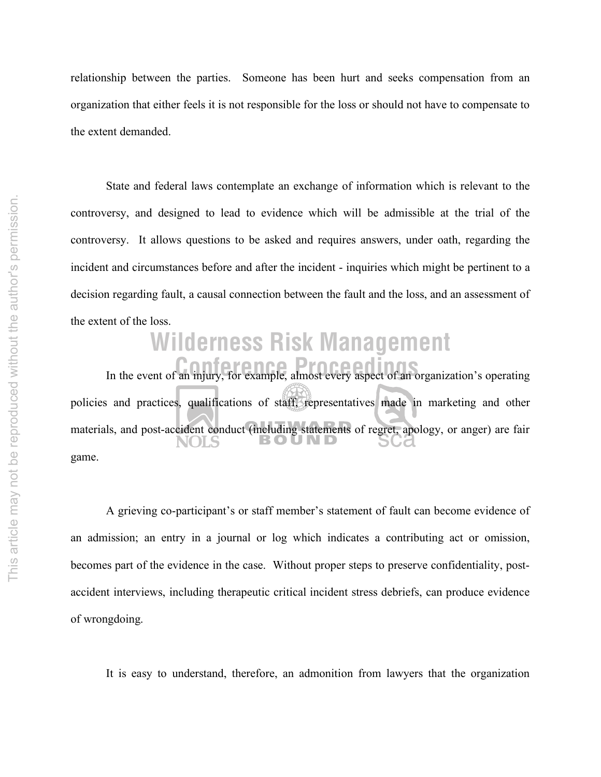relationship between the parties. Someone has been hurt and seeks compensation from an organization that either feels it is not responsible for the loss or should not have to compensate to the extent demanded.

State and federal laws contemplate an exchange of information which is relevant to the controversy, and designed to lead to evidence which will be admissible at the trial of the controversy. It allows questions to be asked and requires answers, under oath, regarding the incident and circumstances before and after the incident - inquiries which might be pertinent to a decision regarding fault, a causal connection between the fault and the loss, and an assessment of the extent of the loss.

## **Wilderness Risk Management**

In the event of an injury, for example, almost every aspect of an organization's operating policies and practices, qualifications of staff, representatives made in marketing and other materials, and post-accident conduct (including statements of regret, apology, or anger) are fair game.

A grieving co-participant's or staff member's statement of fault can become evidence of an admission; an entry in a journal or log which indicates a contributing act or omission, becomes part of the evidence in the case. Without proper steps to preserve confidentiality, postaccident interviews, including therapeutic critical incident stress debriefs, can produce evidence of wrongdoing.

It is easy to understand, therefore, an admonition from lawyers that the organization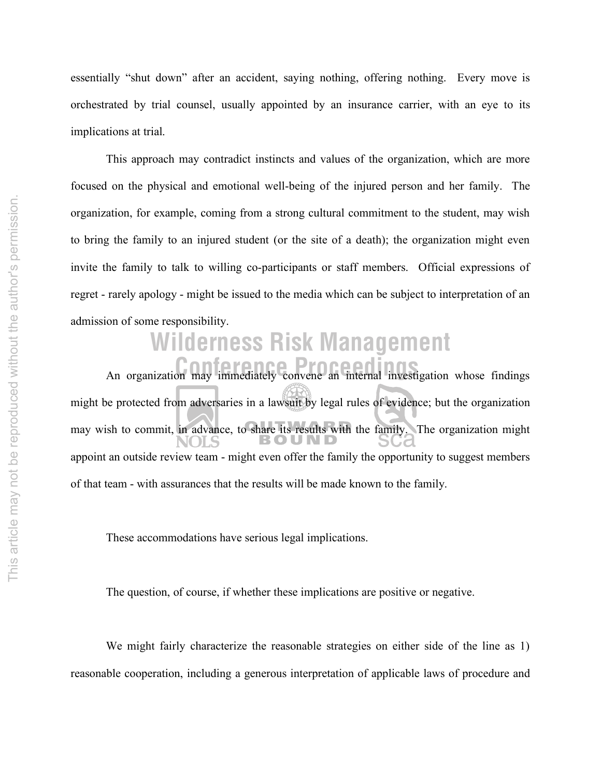essentially "shut down" after an accident, saying nothing, offering nothing. Every move is orchestrated by trial counsel, usually appointed by an insurance carrier, with an eye to its implications at trial.

This approach may contradict instincts and values of the organization, which are more focused on the physical and emotional well-being of the injured person and her family. The organization, for example, coming from a strong cultural commitment to the student, may wish to bring the family to an injured student (or the site of a death); the organization might even invite the family to talk to willing co-participants or staff members. Official expressions of regret - rarely apology - might be issued to the media which can be subject to interpretation of an admission of some responsibility.

## **Wilderness Risk Management**

An organization may immediately convene an internal investigation whose findings might be protected from adversaries in a lawsuit by legal rules of evidence; but the organization may wish to commit, in advance, to share its results with the family. The organization might appoint an outside review team - might even offer the family the opportunity to suggest members of that team - with assurances that the results will be made known to the family.

These accommodations have serious legal implications.

The question, of course, if whether these implications are positive or negative.

We might fairly characterize the reasonable strategies on either side of the line as 1) reasonable cooperation, including a generous interpretation of applicable laws of procedure and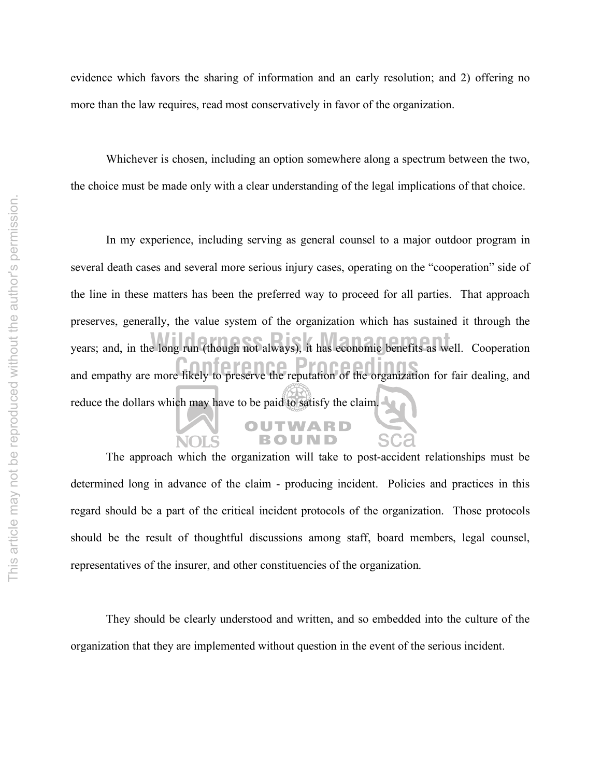evidence which favors the sharing of information and an early resolution; and 2) offering no more than the law requires, read most conservatively in favor of the organization.

Whichever is chosen, including an option somewhere along a spectrum between the two, the choice must be made only with a clear understanding of the legal implications of that choice.

and empathy are more likely to preserve the reputation of the organization for fair dealing, and wears; and, in the long run (though not always), it has economic benefits as well. Cooperation In my experience, including serving as general counsel to a major outdoor program in several death cases and several more serious injury cases, operating on the "cooperation" side of the line in these matters has been the preferred way to proceed for all parties. That approach preserves, generally, the value system of the organization which has sustained it through the reduce the dollars which may have to be paid to satisfy the claim.

The approach which the organization will take to post-accident relationships must be determined long in advance of the claim - producing incident. Policies and practices in this regard should be a part of the critical incident protocols of the organization. Those protocols should be the result of thoughtful discussions among staff, board members, legal counsel, representatives of the insurer, and other constituencies of the organization.

OUTWARD

They should be clearly understood and written, and so embedded into the culture of the organization that they are implemented without question in the event of the serious incident.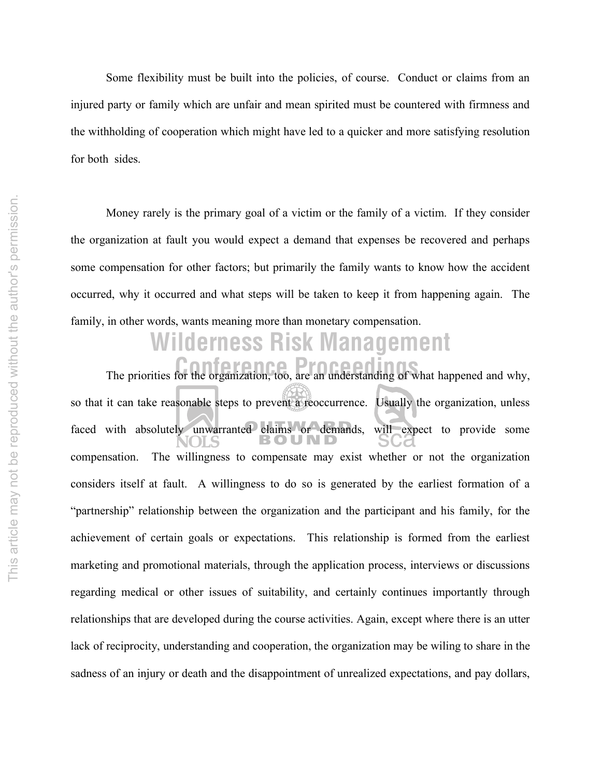Some flexibility must be built into the policies, of course. Conduct or claims from an injured party or family which are unfair and mean spirited must be countered with firmness and the withholding of cooperation which might have led to a quicker and more satisfying resolution for both sides.

Money rarely is the primary goal of a victim or the family of a victim. If they consider the organization at fault you would expect a demand that expenses be recovered and perhaps some compensation for other factors; but primarily the family wants to know how the accident occurred, why it occurred and what steps will be taken to keep it from happening again. The family, in other words, wants meaning more than monetary compensation.

### The priorities for the organization, too, are an understanding of what happened and why, **Wilderness Risk Management**

so that it can take reasonable steps to prevent a reoccurrence. Usually the organization, unless faced with absolutely unwarranted claims or demands, will expect to provide some compensation. The willingness to compensate may exist whether or not the organization considers itself at fault. A willingness to do so is generated by the earliest formation of a "partnership" relationship between the organization and the participant and his family, for the achievement of certain goals or expectations. This relationship is formed from the earliest marketing and promotional materials, through the application process, interviews or discussions regarding medical or other issues of suitability, and certainly continues importantly through relationships that are developed during the course activities. Again, except where there is an utter lack of reciprocity, understanding and cooperation, the organization may be wiling to share in the sadness of an injury or death and the disappointment of unrealized expectations, and pay dollars,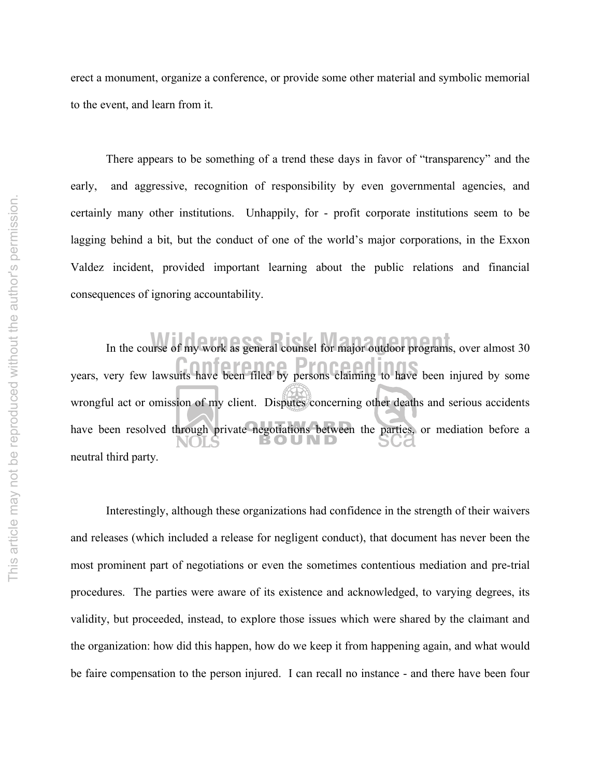erect a monument, organize a conference, or provide some other material and symbolic memorial to the event, and learn from it.

There appears to be something of a trend these days in favor of "transparency" and the early, and aggressive, recognition of responsibility by even governmental agencies, and certainly many other institutions. Unhappily, for - profit corporate institutions seem to be lagging behind a bit, but the conduct of one of the world's major corporations, in the Exxon Valdez incident, provided important learning about the public relations and financial consequences of ignoring accountability.

years, very few lawsuits have been filed by persons claiming to have been injured by some In the course of my work as general counsel for major outdoor programs, over almost 30 wrongful act or omission of my client. Disputes concerning other deaths and serious accidents have been resolved through private negotiations between the parties, or mediation before a neutral third party.

Interestingly, although these organizations had confidence in the strength of their waivers and releases (which included a release for negligent conduct), that document has never been the most prominent part of negotiations or even the sometimes contentious mediation and pre-trial procedures. The parties were aware of its existence and acknowledged, to varying degrees, its validity, but proceeded, instead, to explore those issues which were shared by the claimant and the organization: how did this happen, how do we keep it from happening again, and what would be faire compensation to the person injured. I can recall no instance - and there have been four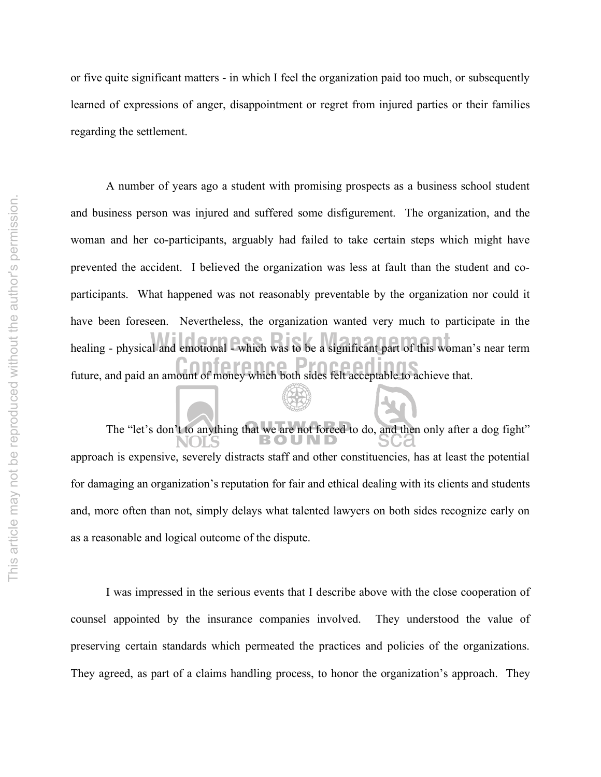or five quite significant matters - in which I feel the organization paid too much, or subsequently learned of expressions of anger, disappointment or regret from injured parties or their families regarding the settlement.

future, and paid an amount of money which both sides felt acceptable to achieve that. healing - physical and emotional - which was to be a significant part of this woman's near term A number of years ago a student with promising prospects as a business school student and business person was injured and suffered some disfigurement. The organization, and the woman and her co-participants, arguably had failed to take certain steps which might have prevented the accident. I believed the organization was less at fault than the student and coparticipants. What happened was not reasonably preventable by the organization nor could it have been foreseen. Nevertheless, the organization wanted very much to participate in the

The "let's don't to anything that we are not forced to do, and then only after a dog fight" approach is expensive, severely distracts staff and other constituencies, has at least the potential for damaging an organization's reputation for fair and ethical dealing with its clients and students and, more often than not, simply delays what talented lawyers on both sides recognize early on as a reasonable and logical outcome of the dispute.

I was impressed in the serious events that I describe above with the close cooperation of counsel appointed by the insurance companies involved. They understood the value of preserving certain standards which permeated the practices and policies of the organizations. They agreed, as part of a claims handling process, to honor the organization's approach. They